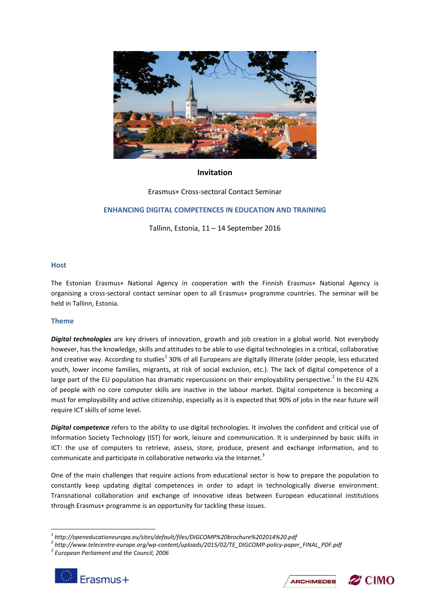

# **Invitation**

Erasmus+ Cross-sectoral Contact Seminar

# **ENHANCING DIGITAL COMPETENCES IN EDUCATION AND TRAINING**

Tallinn, Estonia, 11 – 14 September 2016

#### **Host**

The Estonian Erasmus+ National Agency in cooperation with the Finnish Erasmus+ National Agency is organising a cross-sectoral contact seminar open to all Erasmus+ programme countries. The seminar will be held in Tallinn, Estonia.

# **Theme**

*Digital technologies* are key drivers of innovation, growth and job creation in a global world. Not everybody however, has the knowledge, skills and attitudes to be able to use digital technologies in a critical, collaborative and creative way. According to studies<sup>1</sup> 30% of all Europeans are digitally illiterate (older people, less educated youth, lower income families, migrants, at risk of social exclusion, etc.). The lack of digital competence of a large part of the EU population has dramatic repercussions on their employability perspective.<sup>2</sup> In the EU 42% of people with no core computer skills are inactive in the labour market. Digital competence is becoming a must for employability and active citizenship, especially as it is expected that 90% of jobs in the near future will require ICT skills of some level.

*Digital competence* refers to the ability to use digital technologies. It involves the confident and critical use of Information Society Technology (IST) for work, leisure and communication. It is underpinned by basic skills in ICT: the use of computers to retrieve, assess, store, produce, present and exchange information, and to communicate and participate in collaborative networks via the Internet.<sup>3</sup>

One of the main challenges that require actions from educational sector is how to prepare the population to constantly keep updating digital competences in order to adapt in technologically diverse environment. Transnational collaboration and exchange of innovative ideas between European educational institutions through Erasmus+ programme is an opportunity for tackling these issues.

*<sup>3</sup> European Parliament and the Council, 2006*



 $\overline{a}$ 





*<sup>1</sup> http://openeducationeuropa.eu/sites/default/files/DIGCOMP%20brochure%202014%20.pdf*

*<sup>2</sup> http://www.telecentre-europe.org/wp-content/uploads/2015/02/TE\_DIGCOMP-policy-paper\_FINAL\_PDF.pdf*